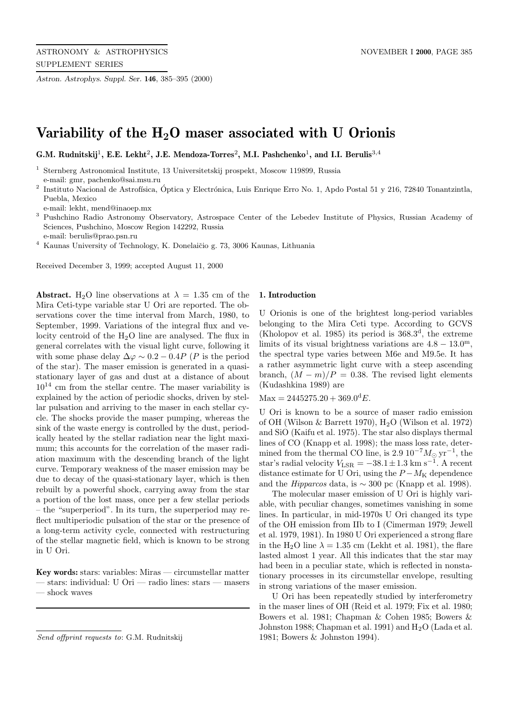*Astron. Astrophys. Suppl. Ser.* **146**, 385–395 (2000)

# **Variability of the H2O maser associated with U Orionis**

**G.M. Rudnitskij**<sup>1</sup>**, E.E. Lekht**<sup>2</sup>**, J.E. Mendoza-Torres**<sup>2</sup>**, M.I. Pashchenko**<sup>1</sup>**, and I.I. Berulis**<sup>3</sup>,<sup>4</sup>

<sup>1</sup> Sternberg Astronomical Institute, 13 Universitetskij prospekt, Moscow 119899, Russia e-mail: gmr, pachenko@sai.msu.ru

 $2$  Instituto Nacional de Astrofísica, Óptica y Electrónica, Luis Enrique Erro No. 1, Apdo Postal 51 y 216, 72840 Tonantzintla, Puebla, Mexico

e-mail: lekht, mend@inaoep.mx

<sup>3</sup> Pushchino Radio Astronomy Observatory, Astrospace Center of the Lebedev Institute of Physics, Russian Academy of Sciences, Pushchino, Moscow Region 142292, Russia e-mail: berulis@prao.psn.ru

Kaunas University of Technology, K. Donelaičio g. 73, 3006 Kaunas, Lithuania

Received December 3, 1999; accepted August 11, 2000

**Abstract.** H<sub>2</sub>O line observations at  $\lambda = 1.35$  cm of the Mira Ceti-type variable star U Ori are reported. The observations cover the time interval from March, 1980, to September, 1999. Variations of the integral flux and velocity centroid of the  $H_2O$  line are analysed. The flux in general correlates with the visual light curve, following it with some phase delay  $\Delta \varphi \sim 0.2 - 0.4P$  (P is the period of the star). The maser emission is generated in a quasistationary layer of gas and dust at a distance of about  $10^{14}$  cm from the stellar centre. The maser variability is explained by the action of periodic shocks, driven by stellar pulsation and arriving to the maser in each stellar cycle. The shocks provide the maser pumping, whereas the sink of the waste energy is controlled by the dust, periodically heated by the stellar radiation near the light maximum; this accounts for the correlation of the maser radiation maximum with the descending branch of the light curve. Temporary weakness of the maser emission may be due to decay of the quasi-stationary layer, which is then rebuilt by a powerful shock, carrying away from the star a portion of the lost mass, once per a few stellar periods – the "superperiod". In its turn, the superperiod may reflect multiperiodic pulsation of the star or the presence of a long-term activity cycle, connected with restructuring of the stellar magnetic field, which is known to be strong in U Ori.

**Key words:** stars: variables: Miras — circumstellar matter — stars: individual: U Ori — radio lines: stars — masers — shock waves

## **1. Introduction**

U Orionis is one of the brightest long-period variables belonging to the Mira Ceti type. According to GCVS (Kholopov et al. 1985) its period is  $368.3<sup>d</sup>$ , the extreme limits of its visual brightness variations are  $4.8 - 13.0^{\mathrm{m}}$ , the spectral type varies between M6e and M9.5e. It has a rather asymmetric light curve with a steep ascending branch,  $(M - m)/P = 0.38$ . The revised light elements (Kudashkina 1989) are

 $Max = 2445275.20 + 369.0^dE.$ 

U Ori is known to be a source of maser radio emission of OH (Wilson & Barrett 1970),  $H_2O$  (Wilson et al. 1972) and SiO (Kaifu et al. 1975). The star also displays thermal lines of CO (Knapp et al. 1998); the mass loss rate, determined from the thermal CO line, is 2.9  $10^{-7} M_{\odot} \text{ yr}^{-1}$ , the star's radial velocity  $V_{\text{LSR}} = -38.1 \pm 1.3 \text{ km s}^{-1}$ . A recent distance estimate for U Ori, using the  $P - M<sub>K</sub>$  dependence and the *Hipparcos* data, is  $\sim 300$  pc (Knapp et al. 1998).

The molecular maser emission of U Ori is highly variable, with peculiar changes, sometimes vanishing in some lines. In particular, in mid-1970s U Ori changed its type of the OH emission from IIb to I (Cimerman 1979; Jewell et al. 1979, 1981). In 1980 U Ori experienced a strong flare in the H<sub>2</sub>O line  $\lambda = 1.35$  cm (Lekht et al. 1981), the flare lasted almost 1 year. All this indicates that the star may had been in a peculiar state, which is reflected in nonstationary processes in its circumstellar envelope, resulting in strong variations of the maser emission.

U Ori has been repeatedly studied by interferometry in the maser lines of OH (Reid et al. 1979; Fix et al. 1980; Bowers et al. 1981; Chapman & Cohen 1985; Bowers & Johnston 1988; Chapman et al. 1991) and  $H_2O$  (Lada et al. 1981; Bowers & Johnston 1994).

Send offprint requests to: G.M. Rudnitskij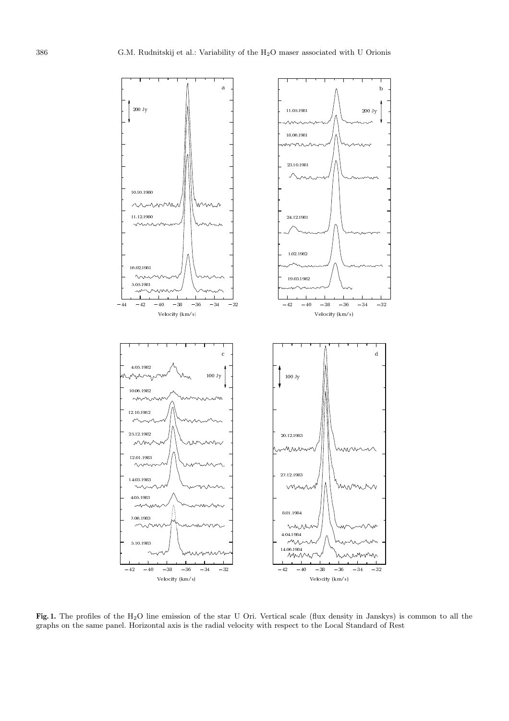

**Fig. 1.** The profiles of the H2O line emission of the star U Ori. Vertical scale (flux density in Janskys) is common to all the graphs on the same panel. Horizontal axis is the radial velocity with respect to the Local Standard of Rest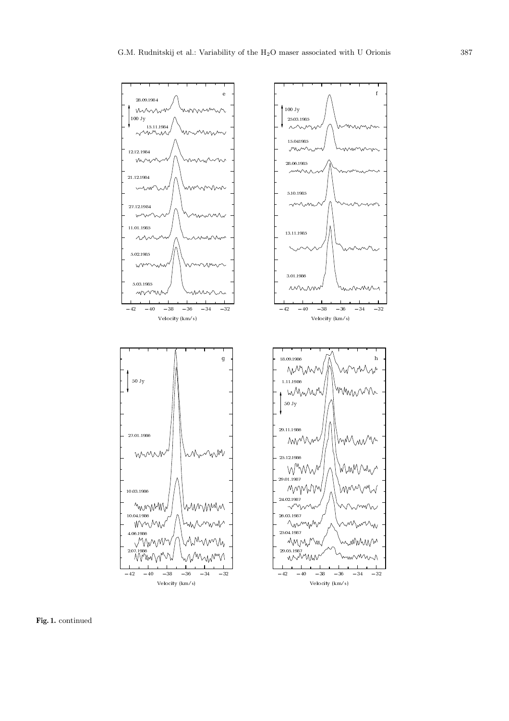

**Fig. 1.** continued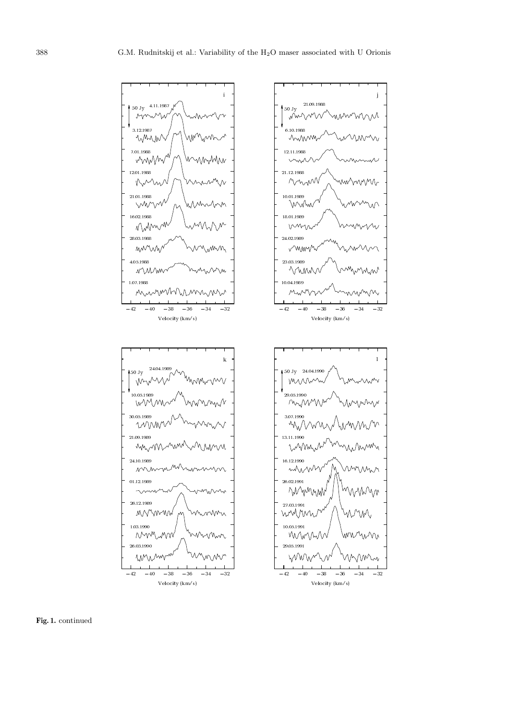

**Fig. 1.** continued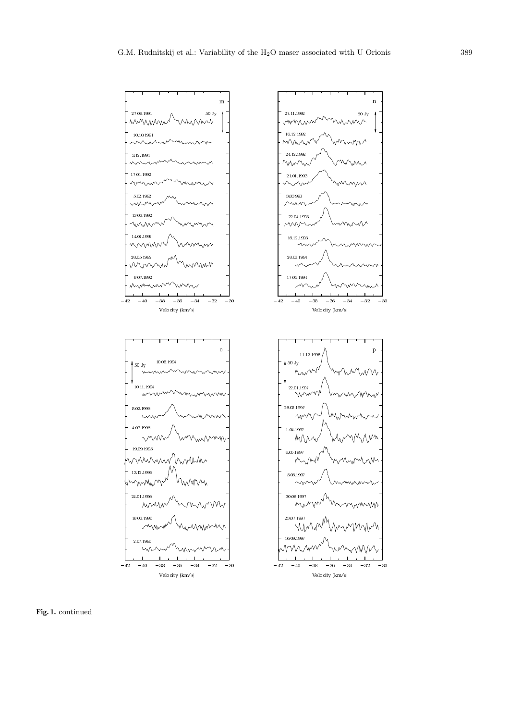

**Fig. 1.** continued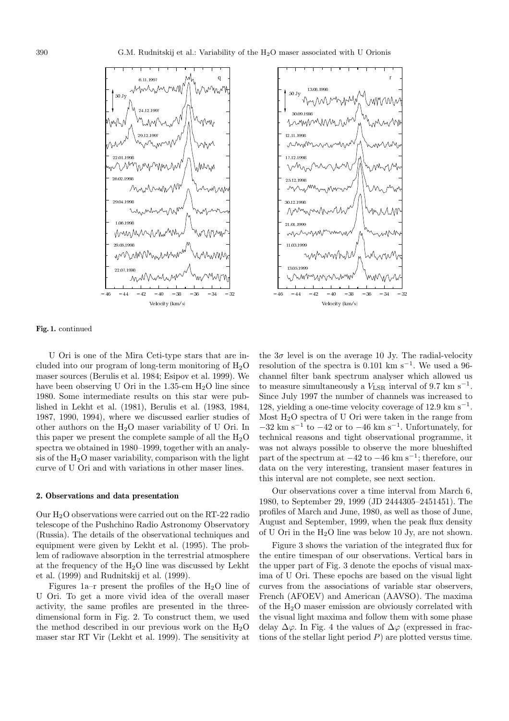



#### **Fig. 1.** continued

U Ori is one of the Mira Ceti-type stars that are included into our program of long-term monitoring of  $H_2O$ maser sources (Berulis et al. 1984; Esipov et al. 1999). We have been observing U Ori in the  $1.35$ -cm  $H<sub>2</sub>O$  line since 1980. Some intermediate results on this star were published in Lekht et al. (1981), Berulis et al. (1983, 1984, 1987, 1990, 1994), where we discussed earlier studies of other authors on the H2O maser variability of U Ori. In this paper we present the complete sample of all the  $H_2O$ spectra we obtained in 1980–1999, together with an analysis of the  $H_2O$  maser variability, comparison with the light curve of U Ori and with variations in other maser lines.

### **2. Observations and data presentation**

Our  $H_2O$  observations were carried out on the RT-22 radio telescope of the Pushchino Radio Astronomy Observatory (Russia). The details of the observational techniques and equipment were given by Lekht et al. (1995). The problem of radiowave absorption in the terrestrial atmosphere at the frequency of the  $H_2O$  line was discussed by Lekht et al. (1999) and Rudnitskij et al. (1999).

Figures  $1a-r$  present the profiles of the H<sub>2</sub>O line of U Ori. To get a more vivid idea of the overall maser activity, the same profiles are presented in the threedimensional form in Fig. 2. To construct them, we used the method described in our previous work on the  $H_2O$ maser star RT Vir (Lekht et al. 1999). The sensitivity at

the  $3\sigma$  level is on the average 10 Jy. The radial-velocity resolution of the spectra is  $0.101 \text{ km s}^{-1}$ . We used a 96channel filter bank spectrum analyser which allowed us to measure simultaneously a  $V_{\text{LSR}}$  interval of 9.7 km s<sup>-1</sup>. Since July 1997 the number of channels was increased to 128, yielding a one-time velocity coverage of 12.9 km s<sup> $-1$ </sup>. Most H2O spectra of U Ori were taken in the range from  $-32 \text{ km s}^{-1}$  to  $-42 \text{ or to } -46 \text{ km s}^{-1}$ . Unfortunately, for technical reasons and tight observational programme, it was not always possible to observe the more blueshifted part of the spectrum at  $-42$  to  $-46$  km s<sup>-1</sup>; therefore, our data on the very interesting, transient maser features in this interval are not complete, see next section.

Our observations cover a time interval from March 6, 1980, to September 29, 1999 (JD 2444305–2451451). The profiles of March and June, 1980, as well as those of June, August and September, 1999, when the peak flux density of U Ori in the H2O line was below 10 Jy, are not shown.

Figure 3 shows the variation of the integrated flux for the entire timespan of our observations. Vertical bars in the upper part of Fig. 3 denote the epochs of visual maxima of U Ori. These epochs are based on the visual light curves from the associations of variable star observers, French (AFOEV) and American (AAVSO). The maxima of the H2O maser emission are obviously correlated with the visual light maxima and follow them with some phase delay  $\Delta\varphi$ . In Fig. 4 the values of  $\Delta\varphi$  (expressed in fractions of the stellar light period  $P$ ) are plotted versus time.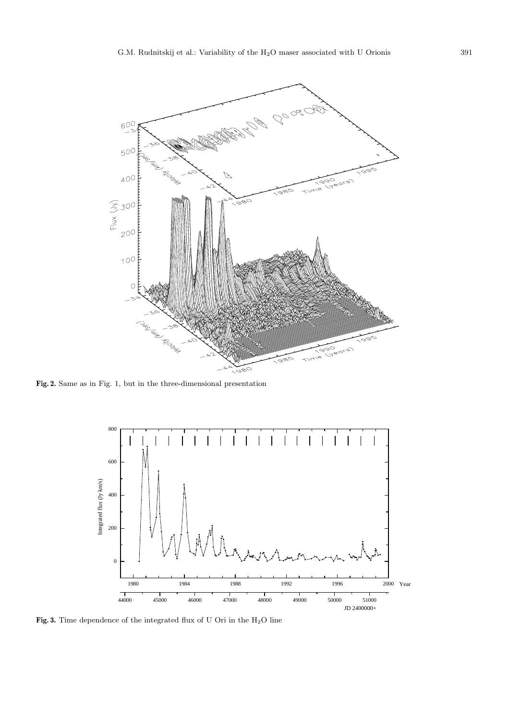

**Fig. 2.** Same as in Fig. 1, but in the three-dimensional presentation



Fig. 3. Time dependence of the integrated flux of U Ori in the  $\rm H_{2}O$  line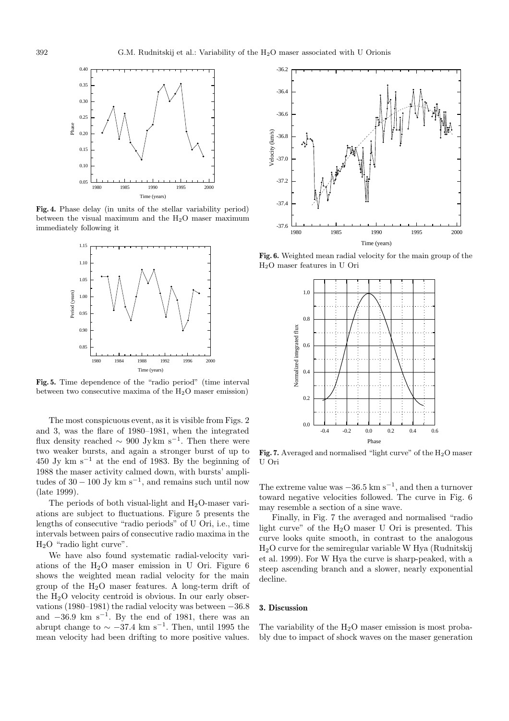

**Fig. 4.** Phase delay (in units of the stellar variability period) between the visual maximum and the  $H_2O$  maser maximum immediately following it



**Fig. 5.** Time dependence of the "radio period" (time interval between two consecutive maxima of the  $H_2O$  maser emission)

The most conspicuous event, as it is visible from Figs. 2 and 3, was the flare of 1980–1981, when the integrated flux density reached  $\sim 900 \text{ Jy km s}^{-1}$ . Then there were two weaker bursts, and again a stronger burst of up to 450 Jy km s<sup> $-1$ </sup> at the end of 1983. By the beginning of 1988 the maser activity calmed down, with bursts' amplitudes of  $30 - 100$  Jy km s<sup>-1</sup>, and remains such until now (late 1999).

The periods of both visual-light and  $H_2O$ -maser variations are subject to fluctuations. Figure 5 presents the lengths of consecutive "radio periods" of U Ori, i.e., time intervals between pairs of consecutive radio maxima in the  $H<sub>2</sub>O$  "radio light curve".

We have also found systematic radial-velocity variations of the  $H<sub>2</sub>O$  maser emission in U Ori. Figure 6 shows the weighted mean radial velocity for the main group of the  $H_2O$  maser features. A long-term drift of the  $H_2O$  velocity centroid is obvious. In our early observations (1980–1981) the radial velocity was between −36.8 and  $-36.9$  km s<sup>-1</sup>. By the end of 1981, there was an abrupt change to  $\sim -37.4$  km s<sup>-1</sup>. Then, until 1995 the mean velocity had been drifting to more positive values.



**Fig. 6.** Weighted mean radial velocity for the main group of the H2O maser features in U Ori



Fig. 7. Averaged and normalised "light curve" of the H<sub>2</sub>O maser U Ori

The extreme value was  $-36.5 \text{ km s}^{-1}$ , and then a turnover toward negative velocities followed. The curve in Fig. 6 may resemble a section of a sine wave.

Finally, in Fig. 7 the averaged and normalised "radio light curve" of the  $H<sub>2</sub>O$  maser U Ori is presented. This curve looks quite smooth, in contrast to the analogous H2O curve for the semiregular variable W Hya (Rudnitskij et al. 1999). For W Hya the curve is sharp-peaked, with a steep ascending branch and a slower, nearly exponential decline.

## **3. Discussion**

The variability of the  $H_2O$  maser emission is most probably due to impact of shock waves on the maser generation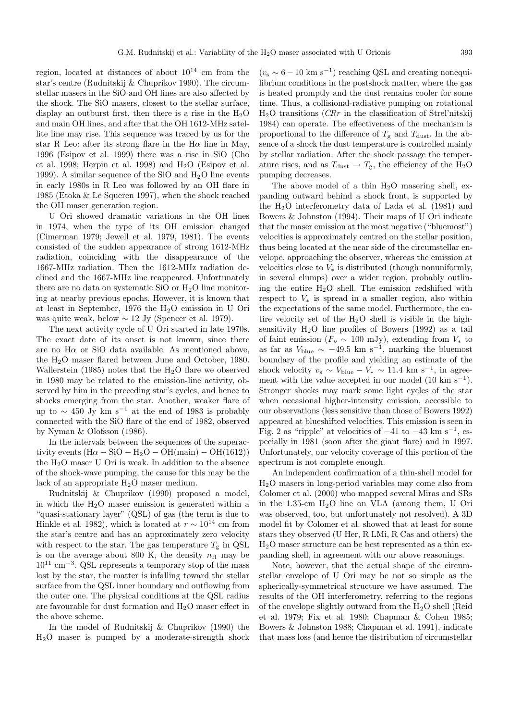region, located at distances of about  $10^{14}$  cm from the star's centre (Rudnitskij & Chuprikov 1990). The circumstellar masers in the SiO and OH lines are also affected by the shock. The SiO masers, closest to the stellar surface, display an outburst first, then there is a rise in the  $H_2O$ and main OH lines, and after that the OH 1612-MHz satellite line may rise. This sequence was traced by us for the star R Leo: after its strong flare in the H $\alpha$  line in May, 1996 (Esipov et al. 1999) there was a rise in SiO (Cho et al. 1998; Herpin et al. 1998) and  $H_2O$  (Esipov et al. 1999). A similar sequence of the SiO and  $H_2O$  line events in early 1980s in R Leo was followed by an OH flare in 1985 (Etoka & Le Squeren 1997), when the shock reached the OH maser generation region.

U Ori showed dramatic variations in the OH lines in 1974, when the type of its OH emission changed (Cimerman 1979; Jewell et al. 1979, 1981). The events consisted of the sudden appearance of strong 1612-MHz radiation, coinciding with the disappearance of the 1667-MHz radiation. Then the 1612-MHz radiation declined and the 1667-MHz line reappeared. Unfortunately there are no data on systematic SiO or  $H_2O$  line monitoring at nearby previous epochs. However, it is known that at least in September, 1976 the H2O emission in U Ori was quite weak, below  $\sim 12$  Jy (Spencer et al. 1979).

The next activity cycle of U Ori started in late 1970s. The exact date of its onset is not known, since there are no  $H\alpha$  or SiO data available. As mentioned above, the H2O maser flared between June and October, 1980. Wallerstein (1985) notes that the  $H_2O$  flare we observed in 1980 may be related to the emission-line activity, observed by him in the preceding star's cycles, and hence to shocks emerging from the star. Another, weaker flare of up to  $\sim 450 \text{ Jy km s}^{-1}$  at the end of 1983 is probably connected with the SiO flare of the end of 1982, observed by Nyman & Olofsson (1986).

In the intervals between the sequences of the superactivity events  $(H\alpha - SiO - H_2O - OH(main) - OH(1612))$ the  $H<sub>2</sub>O$  maser U Ori is weak. In addition to the absence of the shock-wave pumping, the cause for this may be the lack of an appropriate  $H_2O$  maser medium.

Rudnitskij & Chuprikov (1990) proposed a model, in which the  $H_2O$  maser emission is generated within a "quasi-stationary layer" (QSL) of gas (the term is due to Hinkle et al. 1982), which is located at  $r \sim 10^{14}$  cm from the star's centre and has an approximately zero velocity with respect to the star. The gas temperature  $T_{\rm g}$  in QSL is on the average about 800 K, the density  $n_H$  may be  $10^{11}$  cm<sup>-3</sup>. QSL represents a temporary stop of the mass lost by the star, the matter is infalling toward the stellar surface from the QSL inner boundary and outflowing from the outer one. The physical conditions at the QSL radius are favourable for dust formation and  $H_2O$  maser effect in the above scheme.

In the model of Rudnitskij & Chuprikov (1990) the H2O maser is pumped by a moderate-strength shock

 $(v<sub>s</sub> ~ 6 - 10 \text{ km s}^{-1})$  reaching QSL and creating nonequilibrium conditions in the postshock matter, where the gas is heated promptly and the dust remains cooler for some time. Thus, a collisional-radiative pumping on rotational  $H<sub>2</sub>O$  transitions (*CRr* in the classification of Strel'nitskij 1984) can operate. The effectiveness of the mechanism is proportional to the difference of  $T_{\rm g}$  and  $T_{\rm dust}$ . In the absence of a shock the dust temperature is controlled mainly by stellar radiation. After the shock passage the temperature rises, and as  $T_{\text{dust}} \rightarrow T_{\text{g}}$ , the efficiency of the H<sub>2</sub>O pumping decreases.

The above model of a thin  $H_2O$  masering shell, expanding outward behind a shock front, is supported by the  $H_2O$  interferometry data of Lada et al. (1981) and Bowers & Johnston (1994). Their maps of U Ori indicate that the maser emission at the most negative ("bluemost") velocities is approximately centred on the stellar position, thus being located at the near side of the circumstellar envelope, approaching the observer, whereas the emission at velocities close to  $V_*$  is distributed (though nonuniformly, in several clumps) over a wider region, probably outlining the entire  $H_2O$  shell. The emission redshifted with respect to  $V_*$  is spread in a smaller region, also within the expectations of the same model. Furthermore, the entire velocity set of the  $H_2O$  shell is visible in the highsensitivity  $H_2O$  line profiles of Bowers (1992) as a tail of faint emission ( $F_\nu \sim 100$  mJy), extending from  $V_*$  to as far as  $V_{blue} \sim -49.5$  km s<sup>-1</sup>, marking the bluemost boundary of the profile and yielding an estimate of the shock velocity  $v_s \sim V_{blue} - V_* \sim 11.4 \text{ km s}^{-1}$ , in agreement with the value accepted in our model  $(10 \text{ km s}^{-1})$ . Stronger shocks may mark some light cycles of the star when occasional higher-intensity emission, accessible to our observations (less sensitive than those of Bowers 1992) appeared at blueshifted velocities. This emission is seen in Fig. 2 as "ripple" at velocities of  $-41$  to  $-43$  km s<sup>-1</sup>, especially in 1981 (soon after the giant flare) and in 1997. Unfortunately, our velocity coverage of this portion of the spectrum is not complete enough.

An independent confirmation of a thin-shell model for H2O masers in long-period variables may come also from Colomer et al. (2000) who mapped several Miras and SRs in the 1.35-cm H2O line on VLA (among them, U Ori was observed, too, but unfortunately not resolved). A 3D model fit by Colomer et al. showed that at least for some stars they observed (U Her, R LMi, R Cas and others) the H2O maser structure can be best represented as a thin expanding shell, in agreement with our above reasonings.

Note, however, that the actual shape of the circumstellar envelope of U Ori may be not so simple as the spherically-symmetrical structure we have assumed. The results of the OH interferometry, referring to the regions of the envelope slightly outward from the  $H_2O$  shell (Reid et al. 1979; Fix et al. 1980; Chapman & Cohen 1985; Bowers & Johnston 1988; Chapman et al. 1991), indicate that mass loss (and hence the distribution of circumstellar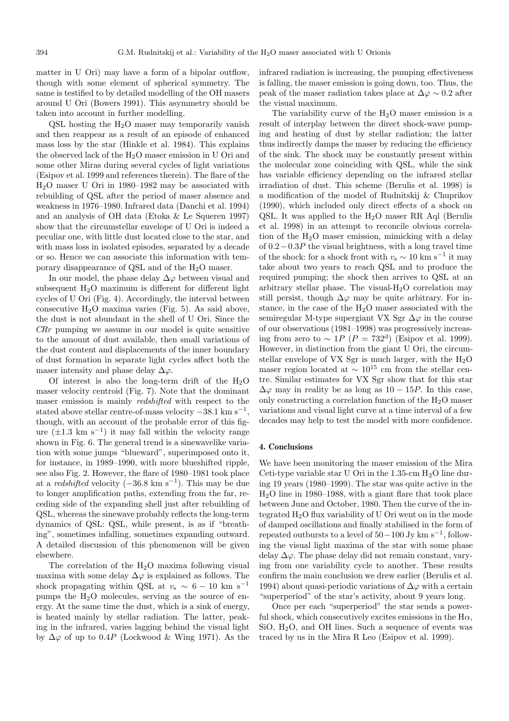matter in U Ori) may have a form of a bipolar outflow, though with some element of spherical symmetry. The same is testified to by detailed modelling of the OH masers around U Ori (Bowers 1991). This asymmetry should be taken into account in further modelling.

 $\text{QSL}$  hosting the  $\text{H}_2\text{O}$  maser may temporarily vanish and then reappear as a result of an episode of enhanced mass loss by the star (Hinkle et al. 1984). This explains the observed lack of the  $H_2O$  maser emission in U Ori and some other Miras during several cycles of light variations (Esipov et al. 1999 and references therein). The flare of the H2O maser U Ori in 1980–1982 may be associated with rebuilding of QSL after the period of maser absence and weakness in 1976–1980. Infrared data (Danchi et al. 1994) and an analysis of OH data (Etoka & Le Squeren 1997) show that the circumstellar envelope of U Ori is indeed a peculiar one, with little dust located close to the star, and with mass loss in isolated episodes, separated by a decade or so. Hence we can associate this information with temporary disappearance of QSL and of the H2O maser.

In our model, the phase delay  $\Delta\varphi$  between visual and subsequent  $H_2O$  maximum is different for different light cycles of U Ori (Fig. 4). Accordingly, the interval between consecutive  $H_2O$  maxima varies (Fig. 5). As said above, the dust is not abundant in the shell of U Ori. Since the  $CRr$  pumping we assume in our model is quite sensitive to the amount of dust available, then small variations of the dust content and displacements of the inner boundary of dust formation in separate light cycles affect both the maser intensity and phase delay  $\Delta\varphi$ .

Of interest is also the long-term drift of the  $H_2O$ maser velocity centroid (Fig. 7). Note that the dominant maser emission is mainly redshifted with respect to the stated above stellar centre-of-mass velocity  $-38.1 \text{ km s}^{-1}$ , though, with an account of the probable error of this figure  $(\pm 1.3 \text{ km s}^{-1})$  it may fall within the velocity range shown in Fig. 6. The general trend is a sinewavelike variation with some jumps "blueward", superimposed onto it, for instance, in 1989–1990, with more blueshifted ripple, see also Fig. 2. However, the flare of 1980–1981 took place at a *redshifted* velocity  $(-36.8 \text{ km s}^{-1})$ . This may be due to longer amplification paths, extending from the far, receding side of the expanding shell just after rebuilding of QSL, whereas the sinewave probably reflects the long-term dynamics of QSL: QSL, while present, is as if "breathing", sometimes infalling, sometimes expanding outward. A detailed discussion of this phenomenon will be given elsewhere.

The correlation of the  $H<sub>2</sub>O$  maxima following visual maxima with some delay  $\Delta\varphi$  is explained as follows. The shock propagating within QSL at  $v_s \sim 6 - 10$  km s<sup>-1</sup> pumps the  $H_2O$  molecules, serving as the source of energy. At the same time the dust, which is a sink of energy, is heated mainly by stellar radiation. The latter, peaking in the infrared, varies lagging behind the visual light by  $\Delta\varphi$  of up to 0.4P (Lockwood & Wing 1971). As the infrared radiation is increasing, the pumping effectiveness is falling, the maser emission is going down, too. Thus, the peak of the maser radiation takes place at  $\Delta\varphi \sim 0.2$  after the visual maximum.

The variability curve of the  $H_2O$  maser emission is a result of interplay between the direct shock-wave pumping and heating of dust by stellar radiation; the latter thus indirectly damps the maser by reducing the efficiency of the sink. The shock may be constantly present within the molecular zone coinciding with QSL, while the sink has variable efficiency depending on the infrared stellar irradiation of dust. This scheme (Berulis et al. 1998) is a modification of the model of Rudnitskij & Chuprikov (1990), which included only direct effects of a shock on QSL. It was applied to the  $H_2O$  maser RR Aql (Berulis et al. 1998) in an attempt to reconcile obvious correlation of the  $H<sub>2</sub>O$  maser emission, mimicking with a delay of 0.2−0.3P the visual brightness, with a long travel time of the shock: for a shock front with  $v_s \sim 10 \text{ km s}^{-1}$  it may take about two years to reach QSL and to produce the required pumping; the shock then arrives to QSL at an arbitrary stellar phase. The visual- $H_2O$  correlation may still persist, though  $\Delta\varphi$  may be quite arbitrary. For instance, in the case of the  $H_2O$  maser associated with the semiregular M-type supergiant VX Sgr  $\Delta\varphi$  in the course of our observations (1981–1998) was progressively increasing from zero to  $\sim 1P$  ( $P = 732<sup>d</sup>$ ) (Esipov et al. 1999). However, in distinction from the giant U Ori, the circumstellar envelope of VX Sgr is much larger, with the  $H_2O$ maser region located at  $\sim 10^{15}$  cm from the stellar centre. Similar estimates for VX Sgr show that for this star  $\Delta\varphi$  may in reality be as long as  $10 - 15P$ . In this case, only constructing a correlation function of the  $H_2O$  maser variations and visual light curve at a time interval of a few decades may help to test the model with more confidence.

## **4. Conclusions**

We have been monitoring the maser emission of the Mira Ceti-type variable star U Ori in the  $1.35$ -cm  $H<sub>2</sub>O$  line during 19 years (1980–1999). The star was quite active in the H2O line in 1980–1988, with a giant flare that took place between June and October, 1980. Then the curve of the integrated  $H_2O$  flux variability of U Ori went on in the mode of damped oscillations and finally stabilised in the form of repeated outbursts to a level of  $50-100$  Jy km s<sup>-1</sup>, following the visual light maxima of the star with some phase delay  $\Delta\varphi$ . The phase delay did not remain constant, varying from one variability cycle to another. These results confirm the main conclusion we drew earlier (Berulis et al. 1994) about quasi-periodic variations of  $\Delta\varphi$  with a certain "superperiod" of the star's activity, about 9 years long.

Once per each "superperiod" the star sends a powerful shock, which consecutively excites emissions in the  $H\alpha$ , SiO,  $H_2O$ , and OH lines. Such a sequence of events was traced by us in the Mira R Leo (Esipov et al. 1999).